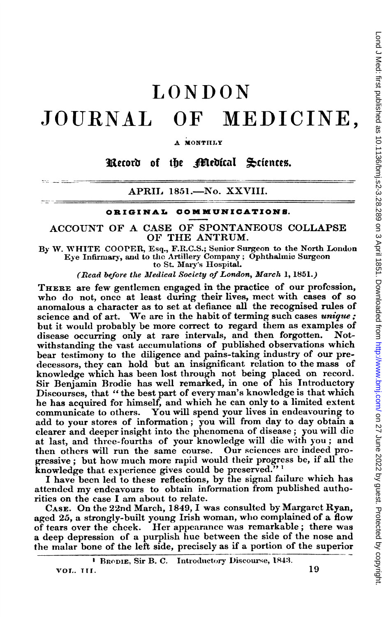## LONDON JOURNAL OF MEDICINE,

**MONTHLY** 

Record of the Pfledical Sciences.

APRIL 1851.—No. XXVIII.

## ORIGINAL COMMUNICATIONS.

ACCOUNT OF A CASE OF SPONTANEOUS COLLAPSE OF THE ANTRUM.

By W. WHITE COOPER, Esq., F.R.C.S.; Senior Surgeon to the North London Eye Infirmary, and to tlhe Artillery Company; Ophthalmic Surgeon to St. Mary's Hospital.

(Read before the Medical Society of London, March 1, 1851.)

THERE are few gentlemen engaged in the practice of our profession, who do not, once at least during their lives, meet with cases of so anomalous a character as to set at defiance all the recognised rules of science and of art. We are in the habit of terming such cases  $unique;$ but it would probably be more correct to regard them as examples of disease occurring only at rare intervals, and then forgotten. Notdisease occurring only at rare intervals, and then forgotten. withstanding the vast accumulations of published observations which bear testimony to the diligence and pains-taking industry of our pre. decessors, they can hold but an insignificant relation to the mass of knowledge which has been lost through not being placed on record. Sir Benjamin Brodie has well remarked, in one of his Introductory Discourses, that " the best part of every man's knowledge is that which he has acquired for himself, and which he can only to a limited extent communicate to others. You will spend your lives in endeavouring to add to your stores of information; you will from day to day obtain a clearer and deeper insight into the phenomena of disease; you will die at last, and three-fourths of your knowledge will die with you; and then others will run the same course. Our sciences are indeed progressive; but how much more rapid would their progress be, if all the knowledge that experience gives could be preserved."<sup>1</sup>

<sup>I</sup> have been led to these reflections, by the signal failure which has attended my endeavours to obtain information from published authorities on the case <sup>I</sup> am about to relate.

CASE. On the 22nd March, 1849, <sup>I</sup> was consulted by Margaret Ryan, aged 25, a strongly-built young Irish woman, who complained of a flow of tears over the cheek. Her appearance was remarkable; there was a deep depression of a purplish hue between the side of the nose and the malar bone of the left side, precisely as if a portion of the superior Lond J Med: first published as 10.1136/bmj.s2-3.28.289 on 3 April 1851. Downloaded from http://www.bmj.com/ on 27 June 2022 by guest. Protected by copyright on 27 June 2022 by guest. Protected by copyright. <http://www.bmj.com/> Lond J Med: first published as 10.1136/bmj.s2-3.28.289 on 3 April 1851. Downloaded from

<sup>&</sup>lt;sup>1</sup> BRODIE, Sir B. C. Introductory Discourse, 1843.

VOL. III.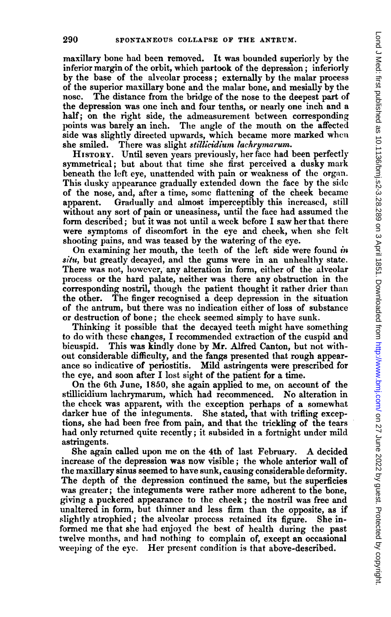maxillary bone had been removed. It was bounded superiorly by the inferior margin of the orbit, which partook of the depression; inferiorly by the base of the alveolar process; externally by the malar process of the superior maxillary bone and the malar bone, and mesially by the nose. The distance from the bridge of the nose to the deepest part of the depression was one inch and four tenths, or nearly one inch and a half; on the right side, the admeasurement between corresponding points was barely an inch. The angle of the mouth on the affected side was slightly directed upwards, which became more marked when she smiled. There was slight stillicidium lachrymarum.

HISTORY. Until seven years previously, her face had been perfectly symmetrical; but about that time she first perceived a dusky mark beneath the left eye, unattended with pain or weakness of the organ. This dusky appearance gradually extended down the face by the side of the nose, and, after a time, some flattening of the cheek became apparent. Gradually and almost imperceptibly this increased, still without any sort of pain or uneasiness, until the face had assumed the form described; but it was not until a week before <sup>I</sup> saw her that there were symptoms of discomfort in the eye and cheek, when she felt shooting pains, and was teased by the watering of the eye.

On examining her mouth, the teeth of the left side were found  $\dot{m}$ situ, but greatly decayed, and the gums were in an unhealthy state. There was not, however, any alteration in form, either of the alveolar process or the hard palate, neither was there any obstruction in the corresponding nostril, though the patient thought it rather drier than the other. The finger recognised a deep depression in the situation of the antrum, but there was no indication either of loss of substance or destruction of bone; the cheek seemed simply to have sunk.

Thinking it possible that the decayed teeth might have something to do with these changes, I recommended extraction of the cuspid and bicuspid. This was kindly done by Mr. Alfred Canton, but not without considerable difficulty, and the fangs presented that rough appearance so indicative of periostitis. Mild astringents were prescribed for the eye, and soon after I lost sight of the patient for a time.

On the 6th June, 1850, she again applied to me, on account of the stillicidium lachrymarum, which had recommenced. No alteration in the cheek was apparent, with the exception perhaps of a somewhat darker hue of the integuments. She stated, that with trifling exceptions, she had been free from pain, and that the trickling of the tears had only returned quite recently; it subsided in a fortnight under mild astringents.

She again called upon me on the 4th of last February. A decided increase of the depression was now visible; the whole anterior wall of the maxillary sinus seemed to have sunk, causing considerable defornity. The depth of the depression continued the same, but the superficies was greater; the integuments were rather more adherent to the bone, giving a puckered appearance to the cheek; the nostril was free and unaltered in form, but thinner and less firm than the opposite, as if slightly atrophied; the alveolar process retained its figure. She informed me that she had enjoyed the best of health during the past twelve months, and had nothing to complain of, except an occasional weeping of the eye. Her present condition is that above-described.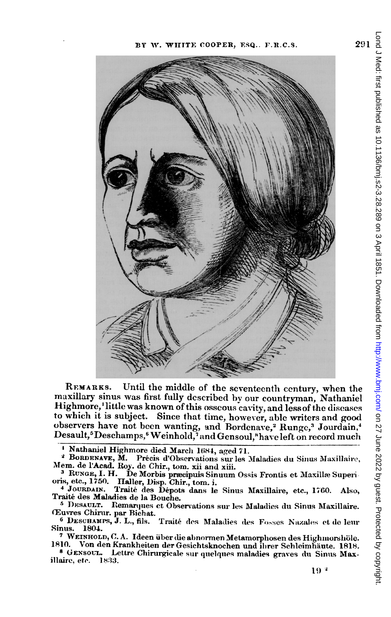

Until the middle of the seventeenth century, when the REMARKS. maxillary sinus was first fully described by our countryman, Nathaniel Highmore,'little was known of this osscous cavity, and less of the diseases to which it is subject. Since that time, however, able writers and good observers have not been wanting, and Bordenave,<sup>2</sup> Runge,<sup>3</sup> Jourdain,<sup>4</sup> Desault,<sup>5</sup>Deschamps,<sup>6</sup>Weinhold,<sup>7</sup> and Gensoul,<sup>8</sup> have left on record much

 $\blacksquare$ Nathaniel Highmore died March 1684, aged 71.

<sup>2</sup> BORDENAVE, M. Précis d'Observations sur les Maladies du Sinus Maxillaire, Mem. de l'Acad. Roy. de Chir., tom. xii and xiii.

<sup>3</sup> RUNGE, I. H. De Morbis præcipuis Sinuum Ossis Frontis et Maxillæ Superioris, etc., 1750. Haller, Disp. Chir., tom. i.

Traité des Dépots dans le Sinus Maxillaire, etc., 1760. Also, 4 JOURDAIN. Traité des Maladies de la Bouche.

<sup>5</sup> DESAULT. Remarques et Observations sur les Maladies du Sinus Maxillaire. Œuvres Chirur. par Bichat.

6 DESCHAMPS, J. L., fils. Traité des Maladies des Fosses Nazales et de leur Sinus. 1804.

 $7$  WEINHOLD, C. A. Ideen über die abnormen Metamorphosen des Highmorshöle. 1810. Von den Krankheiten der Gesichtsknochen und ihrer Schleimhäute. 1818.

<sup>8</sup> GENSOUL. Lettre Chirurgicale sur quelques maladies graves du Sinus Maxillaire, etc. 1833.

291